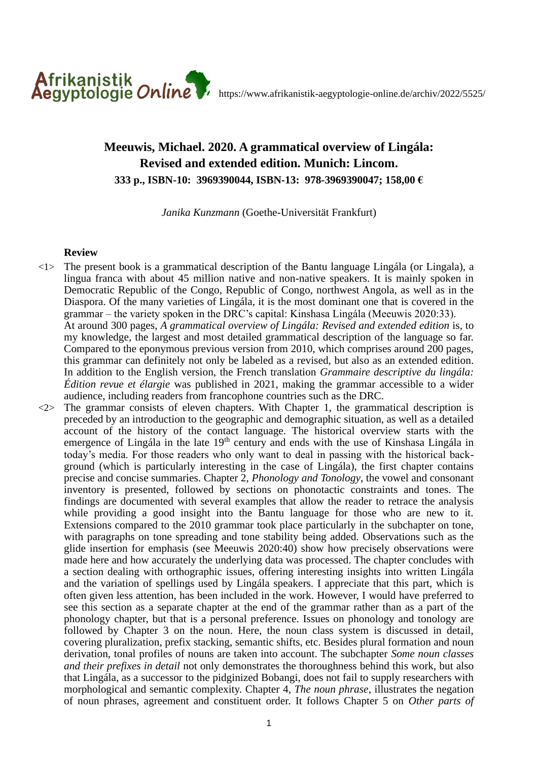

## **Meeuwis, Michael. 2020. A grammatical overview of Lingála: Revised and extended edition. Munich: Lincom. 333 p., ISBN-10: 3969390044, ISBN-13: 978-3969390047; 158,00 €**

*Janika Kunzmann* (Goethe-Universität Frankfurt)

## **Review**

- $\langle 1 \rangle$  The present book is a grammatical description of the Bantu language Lingála (or Lingala), a lingua franca with about 45 million native and non-native speakers. It is mainly spoken in Democratic Republic of the Congo, Republic of Congo, northwest Angola, as well as in the Diaspora. Of the many varieties of Lingála, it is the most dominant one that is covered in the grammar – the variety spoken in the DRC's capital: Kinshasa Lingála (Meeuwis 2020:33). At around 300 pages, *A grammatical overview of Lingála: Revised and extended edition* is, to my knowledge, the largest and most detailed grammatical description of the language so far. Compared to the eponymous previous version from 2010, which comprises around 200 pages, this grammar can definitely not only be labeled as a revised, but also as an extended edition. In addition to the English version, the French translation *Grammaire descriptive du lingála: Édition revue et élargie* was published in 2021, making the grammar accessible to a wider audience, including readers from francophone countries such as the DRC.
- $\langle 2 \rangle$  The grammar consists of eleven chapters. With Chapter 1, the grammatical description is preceded by an introduction to the geographic and demographic situation, as well as a detailed account of the history of the contact language. The historical overview starts with the emergence of Lingála in the late  $19<sup>th</sup>$  century and ends with the use of Kinshasa Lingála in today's media. For those readers who only want to deal in passing with the historical background (which is particularly interesting in the case of Lingála), the first chapter contains precise and concise summaries. Chapter 2, *Phonology and Tonology*, the vowel and consonant inventory is presented, followed by sections on phonotactic constraints and tones. The findings are documented with several examples that allow the reader to retrace the analysis while providing a good insight into the Bantu language for those who are new to it. Extensions compared to the 2010 grammar took place particularly in the subchapter on tone, with paragraphs on tone spreading and tone stability being added. Observations such as the glide insertion for emphasis (see Meeuwis 2020:40) show how precisely observations were made here and how accurately the underlying data was processed. The chapter concludes with a section dealing with orthographic issues, offering interesting insights into written Lingála and the variation of spellings used by Lingála speakers. I appreciate that this part, which is often given less attention, has been included in the work. However, I would have preferred to see this section as a separate chapter at the end of the grammar rather than as a part of the phonology chapter, but that is a personal preference. Issues on phonology and tonology are followed by Chapter 3 on the noun. Here, the noun class system is discussed in detail, covering pluralization, prefix stacking, semantic shifts, etc. Besides plural formation and noun derivation, tonal profiles of nouns are taken into account. The subchapter *Some noun classes and their prefixes in detail* not only demonstrates the thoroughness behind this work, but also that Lingála, as a successor to the pidginized Bobangi, does not fail to supply researchers with morphological and semantic complexity. Chapter 4, *The noun phrase*, illustrates the negation of noun phrases, agreement and constituent order. It follows Chapter 5 on *Other parts of*